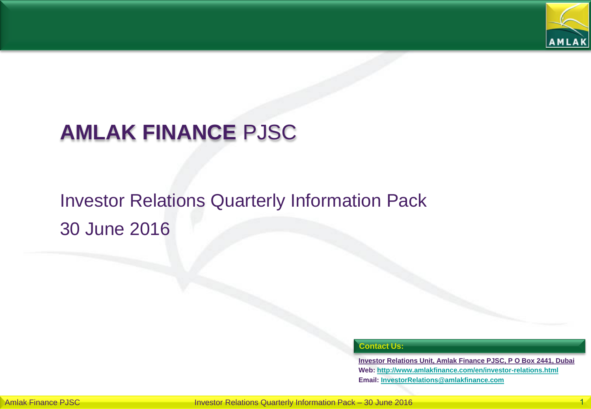

# **AMLAK FINANCE** PJSC

# Investor Relations Quarterly Information Pack 30 June 2016

#### **Contact Us:**

**Investor Relations Unit, Amlak Finance PJSC, P O Box 2441, Dubai Web: <http://www.amlakfinance.com/en/investor-relations.html> Email: [InvestorRelations@amlakfinance.com](mailto:InvestorRelations@amlakfinance.com)**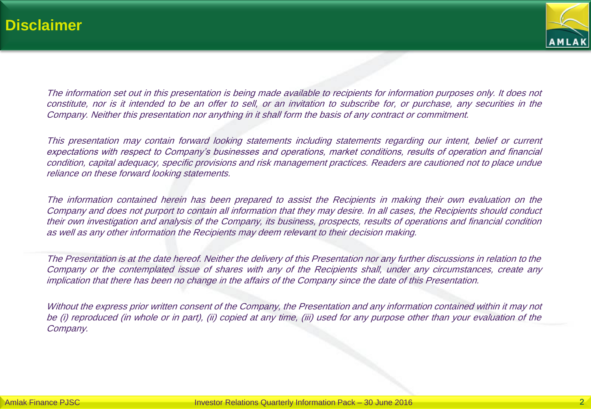

The information set out in this presentation is being made available to recipients for information purposes only. It does not constitute, nor is it intended to be an offer to sell, or an invitation to subscribe for, or purchase, any securities in the Company. Neither this presentation nor anything in it shall form the basis of any contract or commitment.

This presentation may contain forward looking statements including statements regarding our intent, belief or current expectations with respect to Company's businesses and operations, market conditions, results of operation and financial condition, capital adequacy, specific provisions and risk management practices. Readers are cautioned not to place undue reliance on these forward looking statements.

The information contained herein has been prepared to assist the Recipients in making their own evaluation on the Company and does not purport to contain all information that they may desire. In all cases, the Recipients should conduct their own investigation and analysis of the Company, its business, prospects, results of operations and financial condition as well as any other information the Recipients may deem relevant to their decision making.

The Presentation is at the date hereof. Neither the delivery of this Presentation nor any further discussions in relation to the Company or the contemplated issue of shares with any of the Recipients shall, under any circumstances, create any implication that there has been no change in the affairs of the Company since the date of this Presentation.

Without the express prior written consent of the Company, the Presentation and any information contained within it may not be (i) reproduced (in whole or in part), (ii) copied at any time, (iii) used for any purpose other than your evaluation of the Company.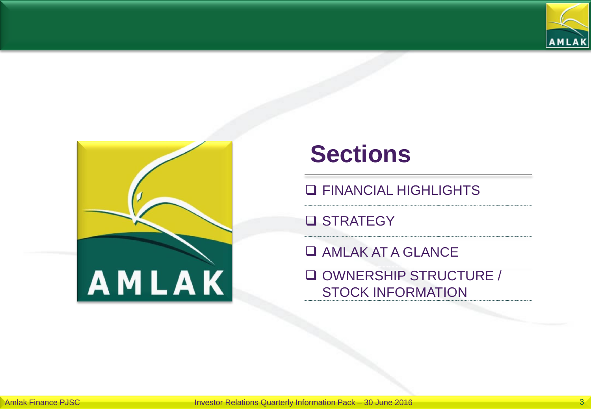



# **Sections**

**Q FINANCIAL HIGHLIGHTS** 

**Q STRATEGY** 

**Q AMLAK AT A GLANCE** 

 OWNERSHIP STRUCTURE / STOCK INFORMATION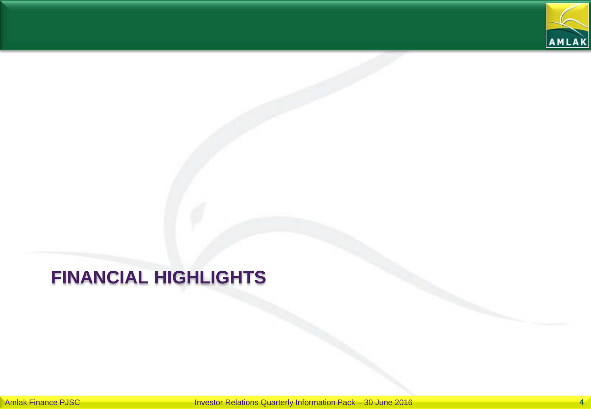

# **FINANCIAL HIGHLIGHTS**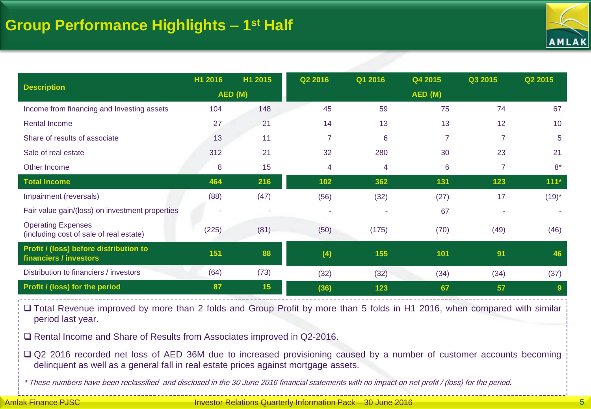

|                                                                      | H1 2016 | H1 2015 | Q2 2016        | Q1 2016 | Q4 2015         | Q3 2015        | Q2 2015        |
|----------------------------------------------------------------------|---------|---------|----------------|---------|-----------------|----------------|----------------|
| <b>Description</b>                                                   | AED (M) |         | AED (M)        |         |                 |                |                |
| Income from financing and Investing assets                           | 104     | 148     | 45             | 59      | 75              | 74             | 67             |
| <b>Rental Income</b>                                                 | 27      | 21      | 14             | 13      | 13              | 12             | 10             |
| Share of results of associate                                        | 13      | 11      | $\overline{7}$ | 6       | $\overline{7}$  | $\overline{7}$ | 5              |
| Sale of real estate                                                  | 312     | 21      | 32             | 280     | 30              | 23             | 21             |
| Other Income                                                         | 8       | 15      | 4              | 4       | $6\phantom{1}6$ | 7              | $8*$           |
| <b>Total Income</b>                                                  | 464     | 216     | 102            | 362     | 131             | 123            | $111*$         |
| Impairment (reversals)                                               | (88)    | (47)    | (56)           | (32)    | (27)            | 17             | $(19)^*$       |
| Fair value gain/(loss) on investment properties                      | ۰       | ٠       | $\sim$         | ٠       | 67              |                |                |
| <b>Operating Expenses</b><br>(including cost of sale of real estate) | (225)   | (81)    | (50)           | (175)   | (70)            | (49)           | (46)           |
| Profit / (loss) before distribution to<br>financiers / investors     | 151     | 88      | (4)            | 155     | 101             | 91             | 46             |
| Distribution to financiers / investors                               | (64)    | (73)    | (32)           | (32)    | (34)            | (34)           | (37)           |
| Profit / (loss) for the period                                       | 87      | 15      | (36)           | 123     | 67              | 57             | $\overline{9}$ |

 Total Revenue improved by more than 2 folds and Group Profit by more than 5 folds in H1 2016, when compared with similar period last year.

□ Rental Income and Share of Results from Associates improved in Q2-2016.

□ Q2 2016 recorded net loss of AED 36M due to increased provisioning caused by a number of customer accounts becoming delinquent as well as a general fall in real estate prices against mortgage assets.

\* These numbers have been reclassified and disclosed in the 30 June 2016 financial statements with no impact on net profit / (loss) for the period.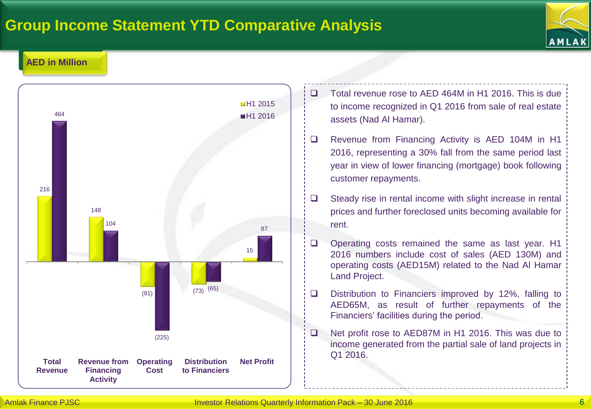## **Group Income Statement YTD Comparative Analysis**



### **AED in Million**



- □ Total revenue rose to AED 464M in H1 2016. This is due to income recognized in Q1 2016 from sale of real estate assets (Nad Al Hamar).
- □ Revenue from Financing Activity is AED 104M in H1 2016, representing a 30% fall from the same period last year in view of lower financing (mortgage) book following customer repayments.
- $\Box$  Steady rise in rental income with slight increase in rental prices and further foreclosed units becoming available for rent.
- $\Box$  Operating costs remained the same as last year. H1 2016 numbers include cost of sales (AED 130M) and operating costs (AED15M) related to the Nad Al Hamar Land Project.
- $\square$  Distribution to Financiers improved by 12%, falling to AED65M, as result of further repayments of the Financiers' facilities during the period.
- □ Net profit rose to AED87M in H1 2016. This was due to income generated from the partial sale of land projects in Q1 2016.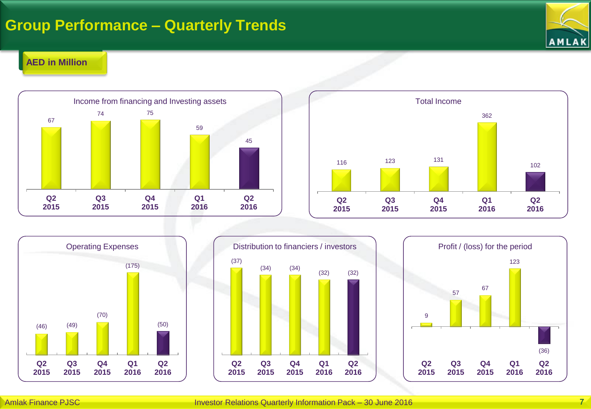## **Group Performance – Quarterly Trends**



#### **AED in Million**









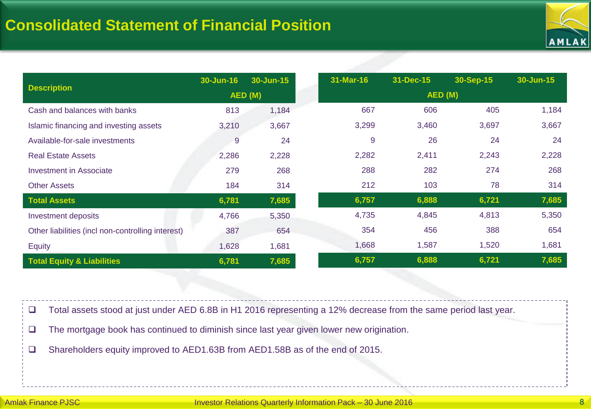

|                                                   | 30-Jun-16 | 30-Jun-15 | 31-Mar-16 | 31-Dec-15 | 30-Sep-15 | 30-Jun-15 |
|---------------------------------------------------|-----------|-----------|-----------|-----------|-----------|-----------|
| <b>Description</b>                                | AED (M)   |           |           |           |           |           |
| Cash and balances with banks                      | 813       | 1,184     | 667       | 606       | 405       | 1,184     |
| Islamic financing and investing assets            | 3,210     | 3,667     | 3,299     | 3,460     | 3,697     | 3,667     |
| Available-for-sale investments                    | 9         | 24        | 9         | 26        | 24        | 24        |
| <b>Real Estate Assets</b>                         | 2,286     | 2,228     | 2,282     | 2,411     | 2,243     | 2,228     |
| <b>Investment in Associate</b>                    | 279       | 268       | 288       | 282       | 274       | 268       |
| <b>Other Assets</b>                               | 184       | 314       | 212       | 103       | 78        | 314       |
| <b>Total Assets</b>                               | 6,781     | 7,685     | 6,757     | 6,888     | 6,721     | 7,685     |
| Investment deposits                               | 4,766     | 5,350     | 4,735     | 4,845     | 4,813     | 5,350     |
| Other liabilities (incl non-controlling interest) | 387       | 654       | 354       | 456       | 388       | 654       |
| <b>Equity</b>                                     | 1,628     | 1,681     | 1,668     | 1,587     | 1,520     | 1,681     |
| <b>Total Equity &amp; Liabilities</b>             | 6,781     | 7,685     | 6,757     | 6,888     | 6,721     | 7,685     |

Total assets stood at just under AED 6.8B in H1 2016 representing a 12% decrease from the same period last year.

 $\Box$  The mortgage book has continued to diminish since last year given lower new origination.

Shareholders equity improved to AED1.63B from AED1.58B as of the end of 2015.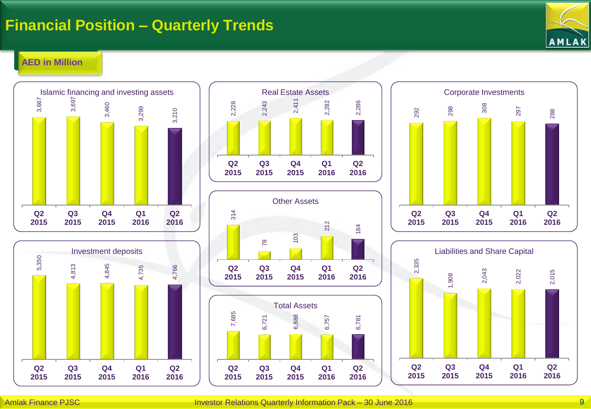## **Financial Position – Quarterly Trends**



#### **AED in Million**











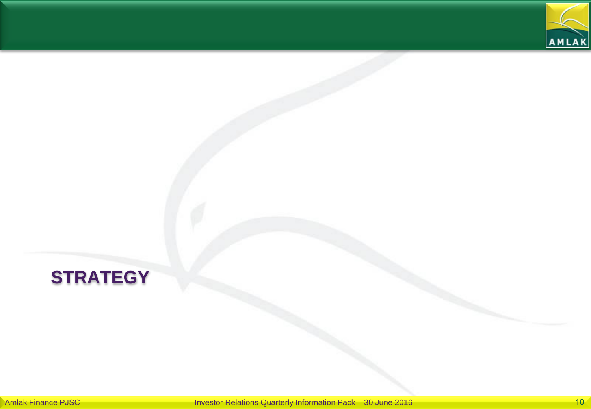

# **STRATEGY**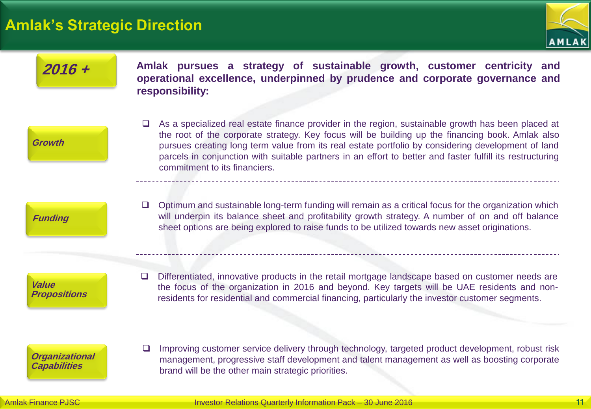### **Amlak's Strategic Direction**



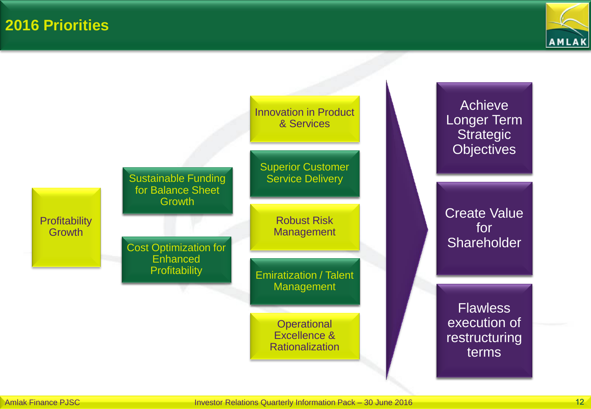**2016 Priorities**



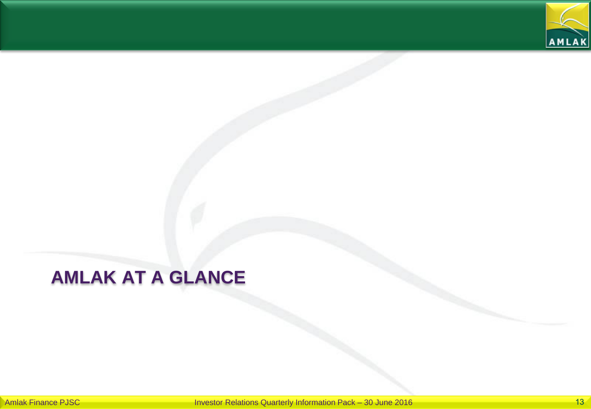

# **AMLAK AT A GLANCE**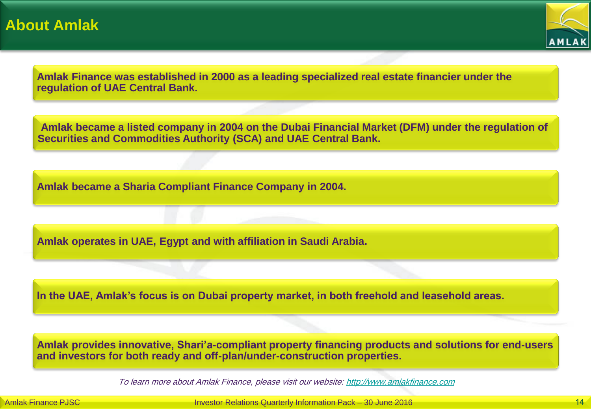

**Amlak Finance was established in 2000 as a leading specialized real estate financier under the regulation of UAE Central Bank.**

**Amlak became a listed company in 2004 on the Dubai Financial Market (DFM) under the regulation of Securities and Commodities Authority (SCA) and UAE Central Bank.**

**Amlak became a Sharia Compliant Finance Company in 2004.**

**Amlak operates in UAE, Egypt and with affiliation in Saudi Arabia.**

**In the UAE, Amlak's focus is on Dubai property market, in both freehold and leasehold areas.**

**Amlak provides innovative, Shari'a-compliant property financing products and solutions for end-users and investors for both ready and off-plan/under-construction properties.**

To learn more about Amlak Finance, please visit our website: [http://www.amlakfinance.com](http://www.amlakfinance.com/)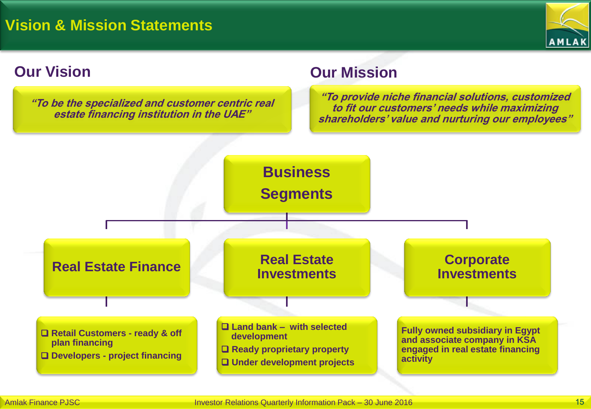

**"To be the specialized and customer centric real estate financing institution in the UAE"**

### **Our Vision Our Mission**

**"To provide niche financial solutions, customized to fit our customers' needs while maximizing shareholders' value and nurturing our employees"**

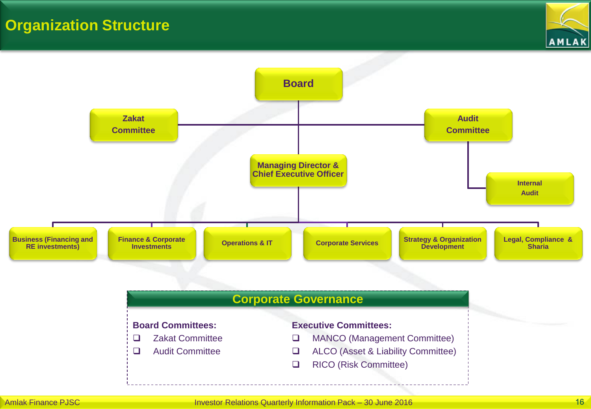## **Organization Structure**



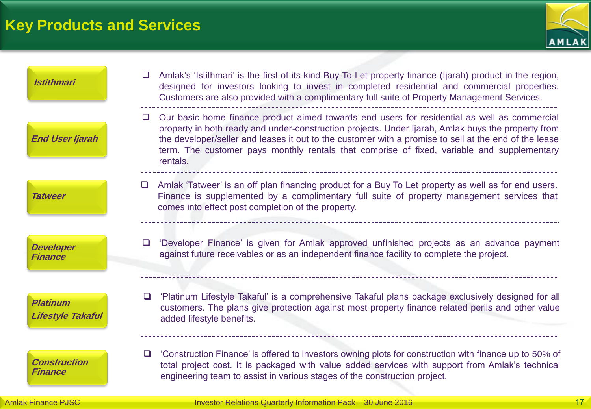# **Key Products and Services**



| <b>Istithmari</b>                           | Amlak's 'Istithmari' is the first-of-its-kind Buy-To-Let property finance (Ijarah) product in the region,<br>$\Box$<br>designed for investors looking to invest in completed residential and commercial properties.<br>Customers are also provided with a complimentary full suite of Property Management Services.                                                                                                        |
|---------------------------------------------|----------------------------------------------------------------------------------------------------------------------------------------------------------------------------------------------------------------------------------------------------------------------------------------------------------------------------------------------------------------------------------------------------------------------------|
| <b>End User Ijarah</b>                      | Our basic home finance product aimed towards end users for residential as well as commercial<br>⊔<br>property in both ready and under-construction projects. Under Ijarah, Amlak buys the property from<br>the developer/seller and leases it out to the customer with a promise to sell at the end of the lease<br>term. The customer pays monthly rentals that comprise of fixed, variable and supplementary<br>rentals. |
| <b>Tatweer</b>                              | □ Amlak 'Tatweer' is an off plan financing product for a Buy To Let property as well as for end users.<br>Finance is supplemented by a complimentary full suite of property management services that<br>comes into effect post completion of the property.                                                                                                                                                                 |
| <b>Developer</b><br><b>Finance</b>          | 'Developer Finance' is given for Amlak approved unfinished projects as an advance payment<br>$\Box$<br>against future receivables or as an independent finance facility to complete the project.                                                                                                                                                                                                                           |
| <b>Platinum</b><br><b>Lifestyle Takaful</b> | 'Platinum Lifestyle Takaful' is a comprehensive Takaful plans package exclusively designed for all<br>$\Box$<br>customers. The plans give protection against most property finance related perils and other value<br>added lifestyle benefits.                                                                                                                                                                             |
| <b>Construction</b><br><b>Finance</b>       | 'Construction Finance' is offered to investors owning plots for construction with finance up to 50% of<br>$\Box$<br>total project cost. It is packaged with value added services with support from Amlak's technical<br>engineering team to assist in various stages of the construction project.                                                                                                                          |
| <b>Amlak Finance PJSC</b>                   | Investor Relations Quarterly Information Pack - 30 June 2016                                                                                                                                                                                                                                                                                                                                                               |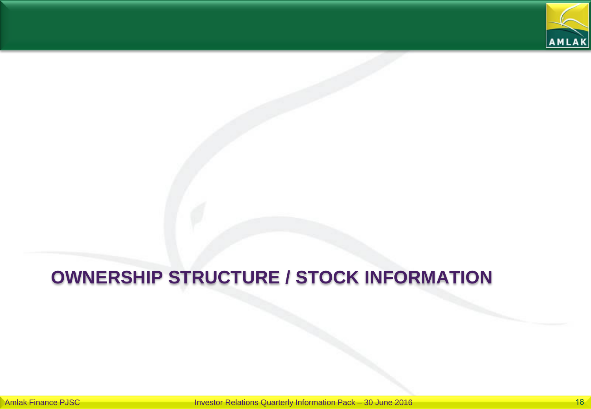

# **OWNERSHIP STRUCTURE / STOCK INFORMATION**